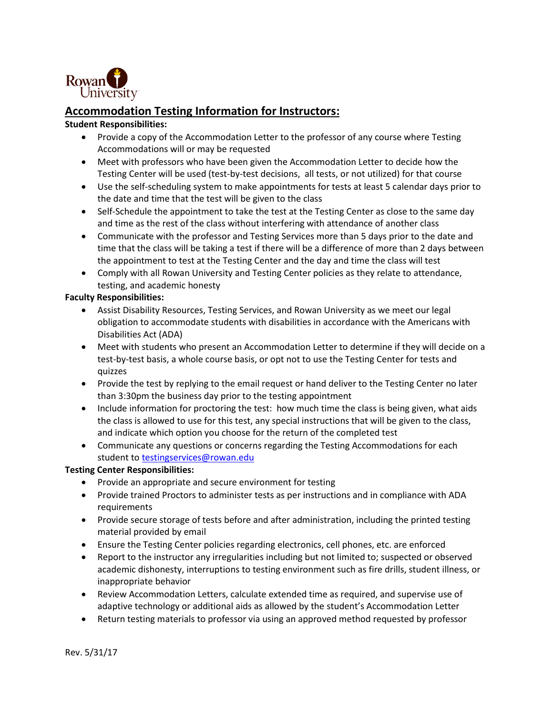

#### **Accommodation Testing Information for Instructors:**

#### **Student Responsibilities:**

- Provide a copy of the Accommodation Letter to the professor of any course where Testing Accommodations will or may be requested
- Meet with professors who have been given the Accommodation Letter to decide how the Testing Center will be used (test-by-test decisions, all tests, or not utilized) for that course
- Use the self-scheduling system to make appointments for tests at least 5 calendar days prior to the date and time that the test will be given to the class
- Self-Schedule the appointment to take the test at the Testing Center as close to the same day and time as the rest of the class without interfering with attendance of another class
- Communicate with the professor and Testing Services more than 5 days prior to the date and time that the class will be taking a test if there will be a difference of more than 2 days between the appointment to test at the Testing Center and the day and time the class will test
- Comply with all Rowan University and Testing Center policies as they relate to attendance, testing, and academic honesty

#### **Faculty Responsibilities:**

- Assist Disability Resources, Testing Services, and Rowan University as we meet our legal obligation to accommodate students with disabilities in accordance with the Americans with Disabilities Act (ADA)
- Meet with students who present an Accommodation Letter to determine if they will decide on a test-by-test basis, a whole course basis, or opt not to use the Testing Center for tests and quizzes
- Provide the test by replying to the email request or hand deliver to the Testing Center no later than 3:30pm the business day prior to the testing appointment
- Include information for proctoring the test: how much time the class is being given, what aids the class is allowed to use for this test, any special instructions that will be given to the class, and indicate which option you choose for the return of the completed test
- Communicate any questions or concerns regarding the Testing Accommodations for each student to [testingservices@rowan.edu](mailto:testingservices@rowan.edu)

#### **Testing Center Responsibilities:**

- Provide an appropriate and secure environment for testing
- Provide trained Proctors to administer tests as per instructions and in compliance with ADA requirements
- Provide secure storage of tests before and after administration, including the printed testing material provided by email
- Ensure the Testing Center policies regarding electronics, cell phones, etc. are enforced
- Report to the instructor any irregularities including but not limited to; suspected or observed academic dishonesty, interruptions to testing environment such as fire drills, student illness, or inappropriate behavior
- Review Accommodation Letters, calculate extended time as required, and supervise use of adaptive technology or additional aids as allowed by the student's Accommodation Letter
- Return testing materials to professor via using an approved method requested by professor